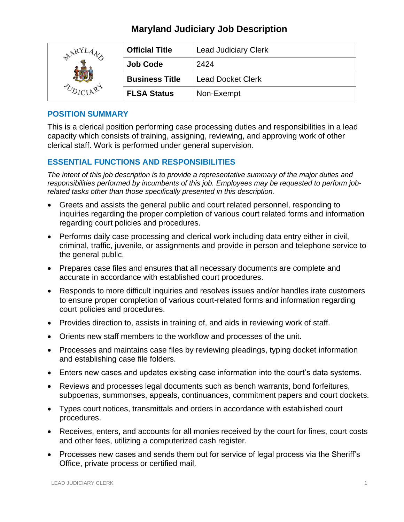| ARYL | <b>Official Title</b> | <b>Lead Judiciary Clerk</b> |
|------|-----------------------|-----------------------------|
|      | <b>Job Code</b>       | 2424                        |
|      | <b>Business Title</b> | <b>Lead Docket Clerk</b>    |
|      | <b>FLSA Status</b>    | Non-Exempt                  |

#### **POSITION SUMMARY**

This is a clerical position performing case processing duties and responsibilities in a lead capacity which consists of training, assigning, reviewing, and approving work of other clerical staff. Work is performed under general supervision.

## **ESSENTIAL FUNCTIONS AND RESPONSIBILITIES**

*The intent of this job description is to provide a representative summary of the major duties and responsibilities performed by incumbents of this job. Employees may be requested to perform jobrelated tasks other than those specifically presented in this description.*

- Greets and assists the general public and court related personnel, responding to inquiries regarding the proper completion of various court related forms and information regarding court policies and procedures.
- Performs daily case processing and clerical work including data entry either in civil, criminal, traffic, juvenile, or assignments and provide in person and telephone service to the general public.
- Prepares case files and ensures that all necessary documents are complete and accurate in accordance with established court procedures.
- Responds to more difficult inquiries and resolves issues and/or handles irate customers to ensure proper completion of various court-related forms and information regarding court policies and procedures.
- Provides direction to, assists in training of, and aids in reviewing work of staff.
- Orients new staff members to the workflow and processes of the unit.
- Processes and maintains case files by reviewing pleadings, typing docket information and establishing case file folders.
- Enters new cases and updates existing case information into the court's data systems.
- Reviews and processes legal documents such as bench warrants, bond forfeitures, subpoenas, summonses, appeals, continuances, commitment papers and court dockets.
- Types court notices, transmittals and orders in accordance with established court procedures.
- Receives, enters, and accounts for all monies received by the court for fines, court costs and other fees, utilizing a computerized cash register.
- Processes new cases and sends them out for service of legal process via the Sheriff's Office, private process or certified mail.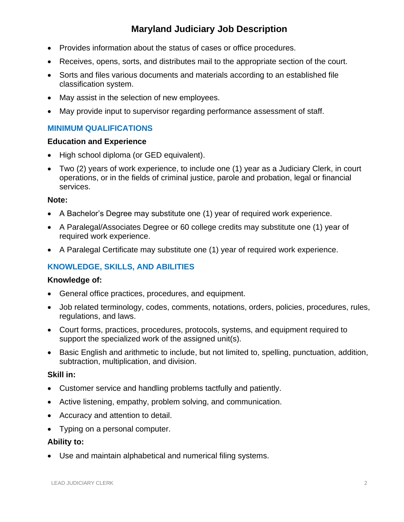- Provides information about the status of cases or office procedures.
- Receives, opens, sorts, and distributes mail to the appropriate section of the court.
- Sorts and files various documents and materials according to an established file classification system.
- May assist in the selection of new employees.
- May provide input to supervisor regarding performance assessment of staff.

## **MINIMUM QUALIFICATIONS**

#### **Education and Experience**

- High school diploma (or GED equivalent).
- Two (2) years of work experience, to include one (1) year as a Judiciary Clerk, in court operations, or in the fields of criminal justice, parole and probation, legal or financial services.

#### **Note:**

- A Bachelor's Degree may substitute one (1) year of required work experience.
- A Paralegal/Associates Degree or 60 college credits may substitute one (1) year of required work experience.
- A Paralegal Certificate may substitute one (1) year of required work experience.

## **KNOWLEDGE, SKILLS, AND ABILITIES**

#### **Knowledge of:**

- General office practices, procedures, and equipment.
- Job related terminology, codes, comments, notations, orders, policies, procedures, rules, regulations, and laws.
- Court forms, practices, procedures, protocols, systems, and equipment required to support the specialized work of the assigned unit(s).
- Basic English and arithmetic to include, but not limited to, spelling, punctuation, addition, subtraction, multiplication, and division.

#### **Skill in:**

- Customer service and handling problems tactfully and patiently.
- Active listening, empathy, problem solving, and communication.
- Accuracy and attention to detail.
- Typing on a personal computer.

## **Ability to:**

• Use and maintain alphabetical and numerical filing systems.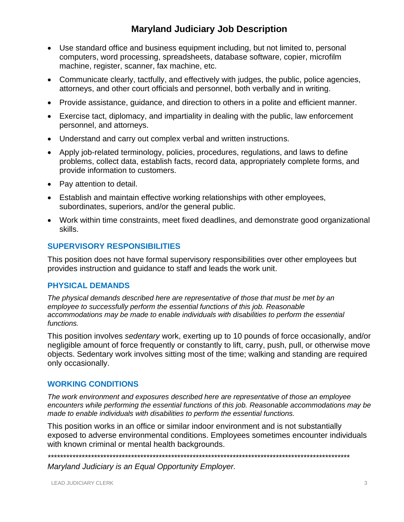- Use standard office and business equipment including, but not limited to, personal computers, word processing, spreadsheets, database software, copier, microfilm machine, register, scanner, fax machine, etc.
- Communicate clearly, tactfully, and effectively with judges, the public, police agencies, attorneys, and other court officials and personnel, both verbally and in writing.
- Provide assistance, guidance, and direction to others in a polite and efficient manner.
- Exercise tact, diplomacy, and impartiality in dealing with the public, law enforcement personnel, and attorneys.
- Understand and carry out complex verbal and written instructions.
- Apply job-related terminology, policies, procedures, regulations, and laws to define problems, collect data, establish facts, record data, appropriately complete forms, and provide information to customers.
- Pay attention to detail.
- Establish and maintain effective working relationships with other employees, subordinates, superiors, and/or the general public.
- Work within time constraints, meet fixed deadlines, and demonstrate good organizational skills.

#### **SUPERVISORY RESPONSIBILITIES**

This position does not have formal supervisory responsibilities over other employees but provides instruction and guidance to staff and leads the work unit.

#### **PHYSICAL DEMANDS**

*The physical demands described here are representative of those that must be met by an employee to successfully perform the essential functions of this job. Reasonable accommodations may be made to enable individuals with disabilities to perform the essential functions.*

This position involves *sedentary* work, exerting up to 10 pounds of force occasionally, and/or negligible amount of force frequently or constantly to lift, carry, push, pull, or otherwise move objects. Sedentary work involves sitting most of the time; walking and standing are required only occasionally.

#### **WORKING CONDITIONS**

*The work environment and exposures described here are representative of those an employee encounters while performing the essential functions of this job. Reasonable accommodations may be made to enable individuals with disabilities to perform the essential functions.*

This position works in an office or similar indoor environment and is not substantially exposed to adverse environmental conditions. Employees sometimes encounter individuals with known criminal or mental health backgrounds.

*\*\*\*\*\*\*\*\*\*\*\*\*\*\*\*\*\*\*\*\*\*\*\*\*\*\*\*\*\*\*\*\*\*\*\*\*\*\*\*\*\*\*\*\*\*\*\*\*\*\*\*\*\*\*\*\*\*\*\*\*\*\*\*\*\*\*\*\*\*\*\*\*\*\*\*\*\*\*\*\*\*\*\*\*\*\*\*\*\*\*\*\*\*\*\*\*\*\**

*Maryland Judiciary is an Equal Opportunity Employer.*